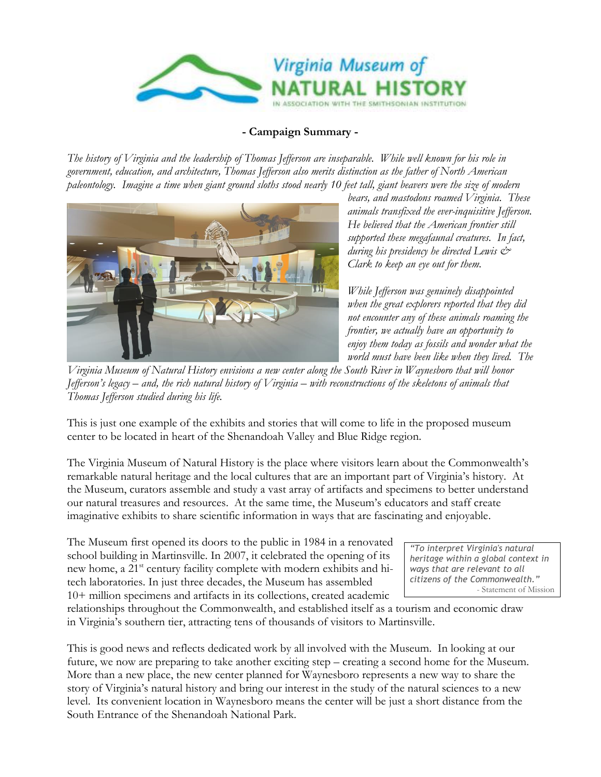

#### **- Campaign Summary -**

*The history of Virginia and the leadership of Thomas Jefferson are inseparable. While well known for his role in government, education, and architecture, Thomas Jefferson also merits distinction as the father of North American paleontology. Imagine a time when giant ground sloths stood nearly 10 feet tall, giant beavers were the size of modern* 



*bears, and mastodons roamed Virginia. These animals transfixed the ever-inquisitive Jefferson. He believed that the American frontier still supported these megafaunal creatures. In fact, during his presidency he directed Lewis & Clark to keep an eye out for them.* 

*While Jefferson was genuinely disappointed when the great explorers reported that they did not encounter any of these animals roaming the frontier, we actually have an opportunity to enjoy them today as fossils and wonder what the world must have been like when they lived. The* 

*Virginia Museum of Natural History envisions a new center along the South River in Waynesboro that will honor Jefferson's legacy – and, the rich natural history of Virginia – with reconstructions of the skeletons of animals that Thomas Jefferson studied during his life.* 

This is just one example of the exhibits and stories that will come to life in the proposed museum center to be located in heart of the Shenandoah Valley and Blue Ridge region.

The Virginia Museum of Natural History is the place where visitors learn about the Commonwealth's remarkable natural heritage and the local cultures that are an important part of Virginia's history. At the Museum, curators assemble and study a vast array of artifacts and specimens to better understand our natural treasures and resources. At the same time, the Museum's educators and staff create imaginative exhibits to share scientific information in ways that are fascinating and enjoyable.

The Museum first opened its doors to the public in 1984 in a renovated school building in Martinsville. In 2007, it celebrated the opening of its new home, a 21<sup>st</sup> century facility complete with modern exhibits and hitech laboratories. In just three decades, the Museum has assembled 10+ million specimens and artifacts in its collections, created academic

*"To interpret Virginia's natural heritage within a global context in ways that are relevant to all citizens of the Commonwealth."* - Statement of Mission

relationships throughout the Commonwealth, and established itself as a tourism and economic draw in Virginia's southern tier, attracting tens of thousands of visitors to Martinsville.

This is good news and reflects dedicated work by all involved with the Museum. In looking at our future, we now are preparing to take another exciting step – creating a second home for the Museum. More than a new place, the new center planned for Waynesboro represents a new way to share the story of Virginia's natural history and bring our interest in the study of the natural sciences to a new level. Its convenient location in Waynesboro means the center will be just a short distance from the South Entrance of the Shenandoah National Park.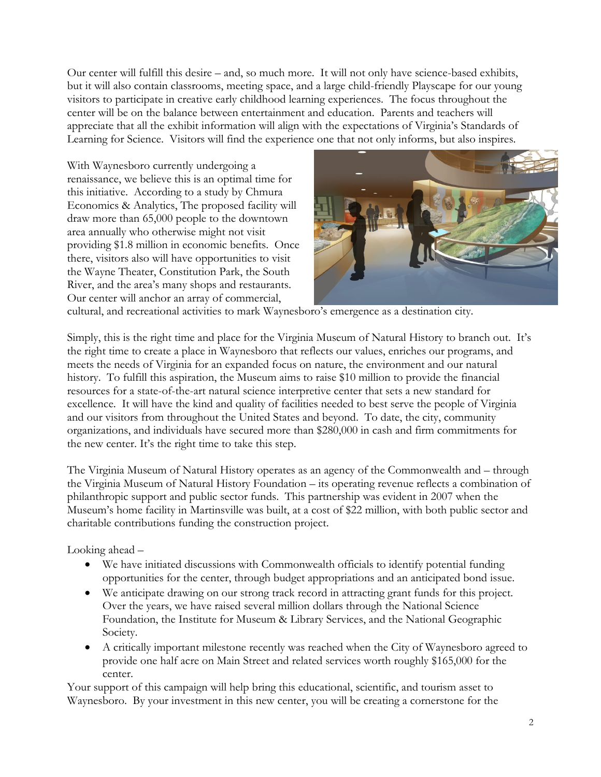Our center will fulfill this desire – and, so much more. It will not only have science-based exhibits, but it will also contain classrooms, meeting space, and a large child-friendly Playscape for our young visitors to participate in creative early childhood learning experiences. The focus throughout the center will be on the balance between entertainment and education. Parents and teachers will appreciate that all the exhibit information will align with the expectations of Virginia's Standards of Learning for Science. Visitors will find the experience one that not only informs, but also inspires.

With Waynesboro currently undergoing a renaissance, we believe this is an optimal time for this initiative. According to a study by Chmura Economics & Analytics, The proposed facility will draw more than 65,000 people to the downtown area annually who otherwise might not visit providing \$1.8 million in economic benefits. Once there, visitors also will have opportunities to visit the Wayne Theater, Constitution Park, the South River, and the area's many shops and restaurants. Our center will anchor an array of commercial,



cultural, and recreational activities to mark Waynesboro's emergence as a destination city.

Simply, this is the right time and place for the Virginia Museum of Natural History to branch out. It's the right time to create a place in Waynesboro that reflects our values, enriches our programs, and meets the needs of Virginia for an expanded focus on nature, the environment and our natural history. To fulfill this aspiration, the Museum aims to raise \$10 million to provide the financial resources for a state-of-the-art natural science interpretive center that sets a new standard for excellence. It will have the kind and quality of facilities needed to best serve the people of Virginia and our visitors from throughout the United States and beyond. To date, the city, community organizations, and individuals have secured more than \$280,000 in cash and firm commitments for the new center. It's the right time to take this step.

The Virginia Museum of Natural History operates as an agency of the Commonwealth and – through the Virginia Museum of Natural History Foundation – its operating revenue reflects a combination of philanthropic support and public sector funds. This partnership was evident in 2007 when the Museum's home facility in Martinsville was built, at a cost of \$22 million, with both public sector and charitable contributions funding the construction project.

Looking ahead –

- We have initiated discussions with Commonwealth officials to identify potential funding opportunities for the center, through budget appropriations and an anticipated bond issue.
- We anticipate drawing on our strong track record in attracting grant funds for this project. Over the years, we have raised several million dollars through the National Science Foundation, the Institute for Museum & Library Services, and the National Geographic Society.
- A critically important milestone recently was reached when the City of Waynesboro agreed to provide one half acre on Main Street and related services worth roughly \$165,000 for the center.

Your support of this campaign will help bring this educational, scientific, and tourism asset to Waynesboro. By your investment in this new center, you will be creating a cornerstone for the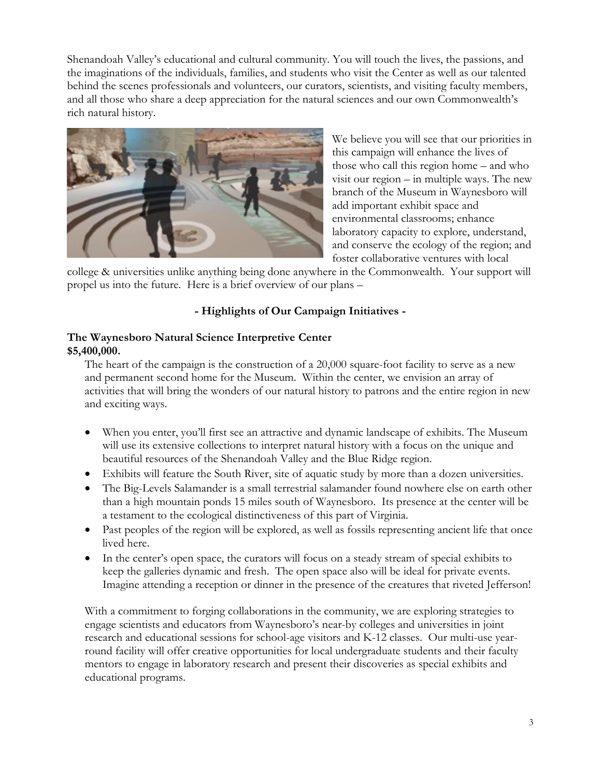Shenandoah Valley's educational and cultural community. You will touch the lives, the passions, and the imaginations of the individuals, families, and students who visit the Center as well as our talented behind the scenes professionals and volunteers, our curators, scientists, and visiting faculty members, and all those who share a deep appreciation for the natural sciences and our own Commonwealth's rich natural history.



We believe you will see that our priorities in this campaign will enhance the lives of those who call this region home – and who visit our region – in multiple ways. The new branch of the Museum in Waynesboro will add important exhibit space and environmental classrooms; enhance laboratory capacity to explore, understand, and conserve the ecology of the region; and foster collaborative ventures with local

college & universities unlike anything being done anywhere in the Commonwealth. Your support will propel us into the future. Here is a brief overview of our plans –

# **- Highlights of Our Campaign Initiatives -**

### **The Waynesboro Natural Science Interpretive Center \$5,400,000.**

The heart of the campaign is the construction of a 20,000 square-foot facility to serve as a new and permanent second home for the Museum. Within the center, we envision an array of activities that will bring the wonders of our natural history to patrons and the entire region in new and exciting ways.

- When you enter, you'll first see an attractive and dynamic landscape of exhibits. The Museum will use its extensive collections to interpret natural history with a focus on the unique and beautiful resources of the Shenandoah Valley and the Blue Ridge region.
- Exhibits will feature the South River, site of aquatic study by more than a dozen universities.
- The Big-Levels Salamander is a small terrestrial salamander found nowhere else on earth other than a high mountain ponds 15 miles south of Waynesboro. Its presence at the center will be a testament to the ecological distinctiveness of this part of Virginia.
- Past peoples of the region will be explored, as well as fossils representing ancient life that once lived here.
- In the center's open space, the curators will focus on a steady stream of special exhibits to keep the galleries dynamic and fresh. The open space also will be ideal for private events. Imagine attending a reception or dinner in the presence of the creatures that riveted Jefferson!

With a commitment to forging collaborations in the community, we are exploring strategies to engage scientists and educators from Waynesboro's near-by colleges and universities in joint research and educational sessions for school-age visitors and K-12 classes. Our multi-use yearround facility will offer creative opportunities for local undergraduate students and their faculty mentors to engage in laboratory research and present their discoveries as special exhibits and educational programs.